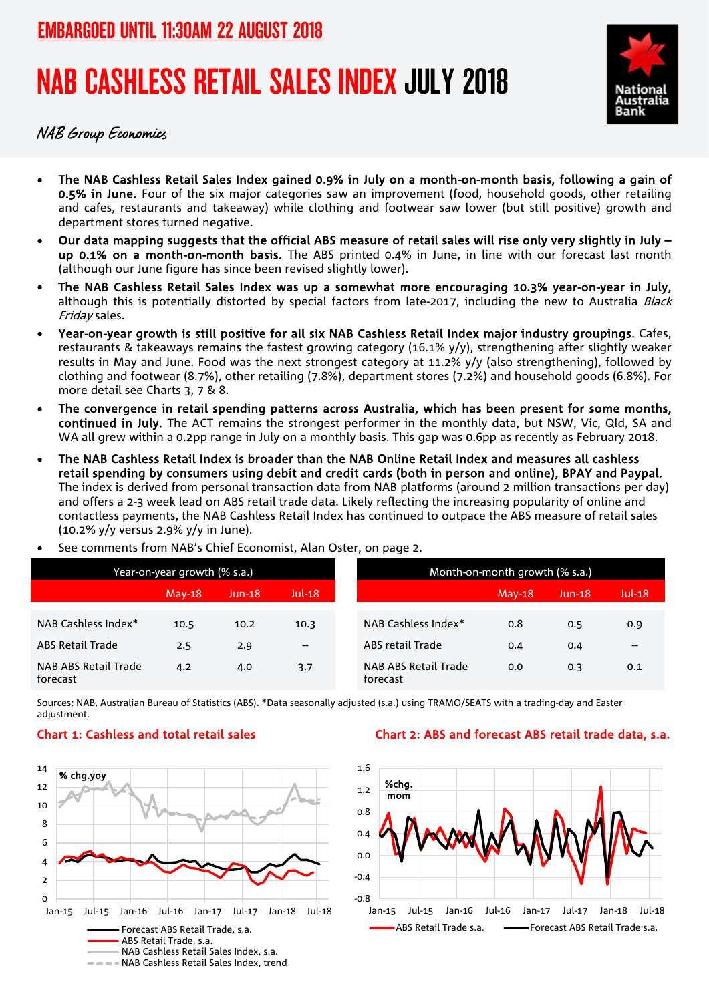# NAB CASHLESS RETAIL SALES INDEX JULY 2018



NAB Group Economics

- The NAB Cashless Retail Sales Index gained 0.9% in July on a month-on-month basis, following a gain of 0.5% in June. Four of the six major categories saw an improvement (food, household goods, other retailing and cafes, restaurants and takeaway) while clothing and footwear saw lower (but still positive) growth and department stores turned negative.
- Our data mapping suggests that the official ABS measure of retail sales will rise only very slightly in July up 0.1% on a month-on-month basis. The ABS printed 0.4% in June, in line with our forecast last month (although our June figure has since been revised slightly lower).
- The NAB Cashless Retail Sales Index was up a somewhat more encouraging 10.3% year-on-year in July, although this is potentially distorted by special factors from late-2017, including the new to Australia Black Friday sales.
- Year-on-year growth is still positive for all six NAB Cashless Retail Index major industry groupings. Cafes, restaurants & takeaways remains the fastest growing category (16.1% y/y), strengthening after slightly weaker results in May and June. Food was the next strongest category at 11.2% y/y (also strengthening), followed by clothing and footwear (8.7%), other retailing (7.8%), department stores (7.2%) and household goods (6.8%). For more detail see Charts 3, 7 & 8.
- The convergence in retail spending patterns across Australia, which has been present for some months, continued in July. The ACT remains the strongest performer in the monthly data, but NSW, Vic, Qld, SA and WA all grew within a 0.2pp range in July on a monthly basis. This gap was 0.6pp as recently as February 2018.
- The NAB Cashless Retail Index is broader than the NAB Online Retail Index and measures all cashless retail spending by consumers using debit and credit cards (both in person and online), BPAY and Paypal. The index is derived from personal transaction data from NAB platforms (around 2 million transactions per day) and offers a 2-3 week lead on ABS retail trade data. Likely reflecting the increasing popularity of online and contactless payments, the NAB Cashless Retail Index has continued to outpace the ABS measure of retail sales (10.2% y/y versus 2.9% y/y in June).
- Year-on-year growth (% s.a.) The Month-on-month growth (% s.a.) May-18 Jun-18 Jul-18 May-18 Jun-18 Jul-18 NAB Cashless Index\* 10.5 10.2 10.3 NAB Cashless Index\* 0.8 0.5 0.9 ABS Retail Trade 2.5 2.9 - ABS retail Trade 0.4 0.4 --NAB ABS Retail Trade forecast 4.2 4.0 3.7 NAB ABS Retail Trade forecast 0.0 0.3 0.1
- See comments from NAB's Chief Economist, Alan Oster, on page 2.

Sources: NAB, Australian Bureau of Statistics (ABS). \*Data seasonally adjusted (s.a.) using TRAMO/SEATS with a trading-day and Easter adjustment.



#### Chart 1: Cashless and total retail sales Chart 2: ABS and forecast ABS retail trade data, s.a.

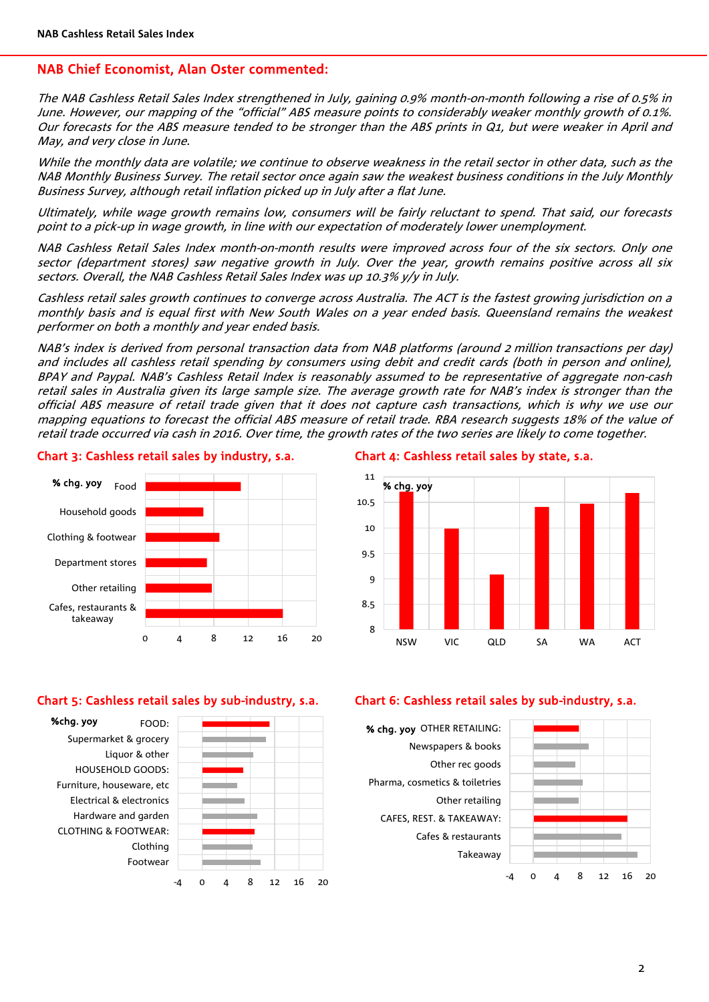#### NAB Chief Economist, Alan Oster commented:

The NAB Cashless Retail Sales Index strengthened in July, gaining 0.9% month-on-month following a rise of 0.5% in June. However, our mapping of the "official" ABS measure points to considerably weaker monthly growth of 0.1%. Our forecasts for the ABS measure tended to be stronger than the ABS prints in Q1, but were weaker in April and May, and very close in June.

While the monthly data are volatile; we continue to observe weakness in the retail sector in other data, such as the NAB Monthly Business Survey. The retail sector once again saw the weakest business conditions in the July Monthly Business Survey, although retail inflation picked up in July after a flat June.

Ultimately, while wage growth remains low, consumers will be fairly reluctant to spend. That said, our forecasts point to a pick-up in wage growth, in line with our expectation of moderately lower unemployment.

NAB Cashless Retail Sales Index month-on-month results were improved across four of the six sectors. Only one sector (department stores) saw negative growth in July. Over the year, growth remains positive across all six sectors. Overall, the NAB Cashless Retail Sales Index was up 10.3% y/y in July.

Cashless retail sales growth continues to converge across Australia. The ACT is the fastest growing jurisdiction on a monthly basis and is equal first with New South Wales on a year ended basis. Queensland remains the weakest performer on both a monthly and year ended basis.

NAB's index is derived from personal transaction data from NAB platforms (around 2 million transactions per day) and includes all cashless retail spending by consumers using debit and credit cards (both in person and online), BPAY and Paypal. NAB's Cashless Retail Index is reasonably assumed to be representative of aggregate non-cash retail sales in Australia given its large sample size. The average growth rate for NAB's index is stronger than the official ABS measure of retail trade given that it does not capture cash transactions, which is why we use our mapping equations to forecast the official ABS measure of retail trade. RBA research suggests 18% of the value of retail trade occurred via cash in 2016. Over time, the growth rates of the two series are likely to come together.

### 0 4 8 12 16 20 Cafes, restaurants & takeaway Other retailing Department stores Clothing & footwear Household goods % chg. yoy Food

Chart 3: Cashless retail sales by industry, s.a.

#### Chart 4: Cashless retail sales by state, s.a.



#### Chart 5: Cashless retail sales by sub-industry, s.a.





#### Chart 6: Cashless retail sales by sub-industry, s.a.

Takeaway Cafes & restaurants CAFES, REST. & TAKEAWAY: Other retailing Pharma, cosmetics & toiletries Other rec goods Newspapers & books % chg. yoy OTHER RETAILING:

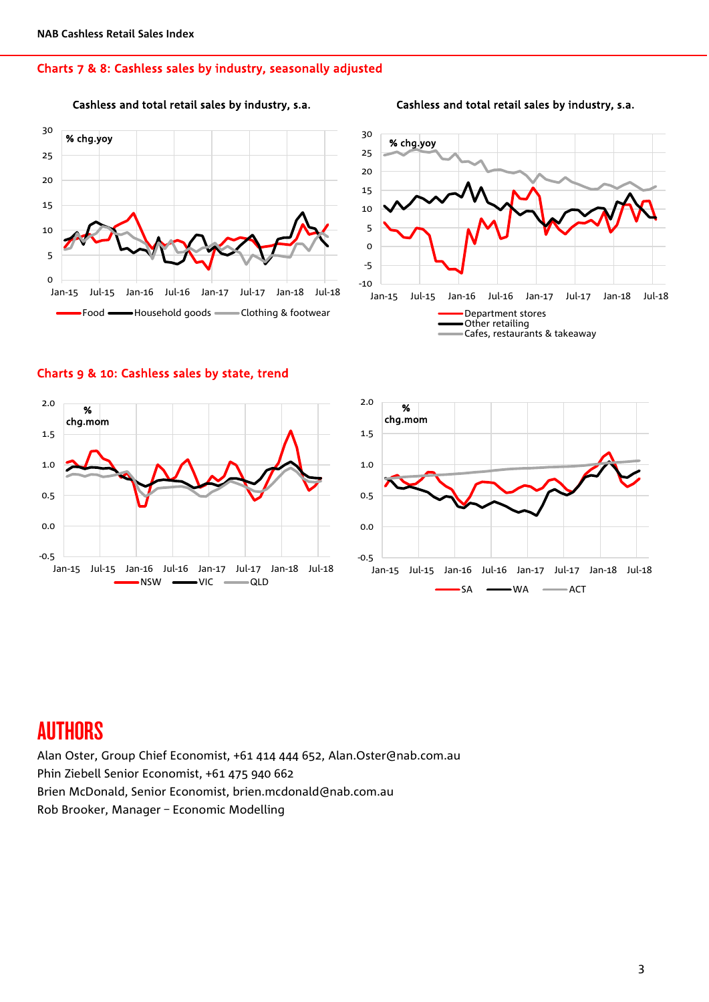#### Charts 7 & 8: Cashless sales by industry, seasonally adjusted







#### Charts 9 & 10: Cashless sales by state, trend





### **AUTHORS**

Alan Oster, Group Chief Economist, +61 414 444 652, Alan.Oster@nab.com.au Phin Ziebell Senior Economist, +61 475 940 662 Brien McDonald, Senior Economist, brien.mcdonald@nab.com.au Rob Brooker, Manager – Economic Modelling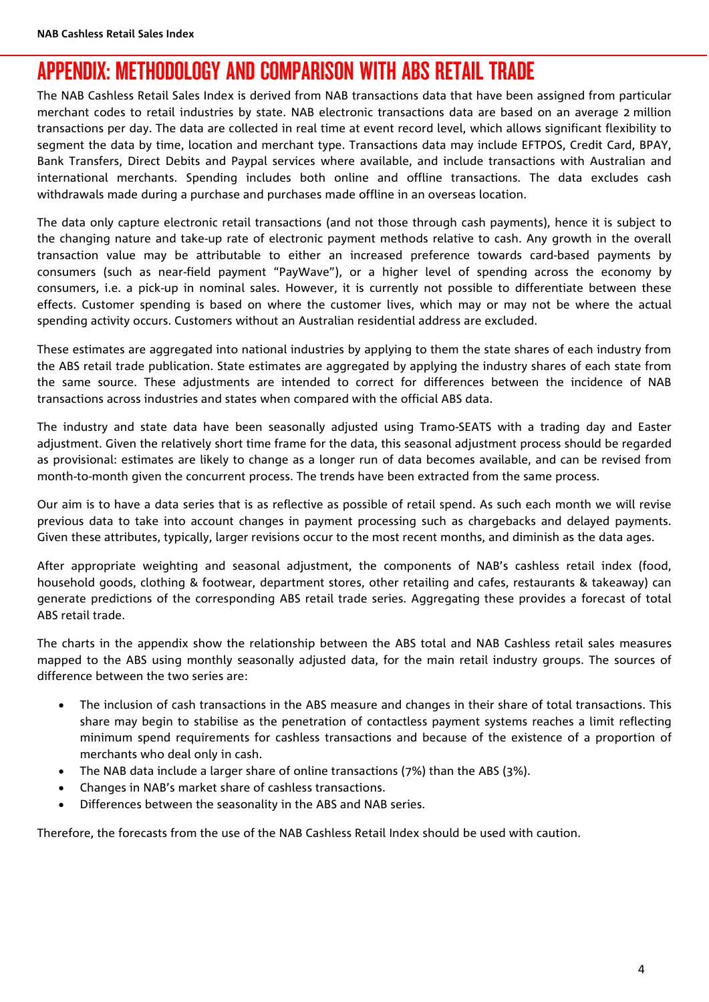## APPENDIX: METHODOLOGY AND COMPARISON WITH ABS RETAIL TRADE

The NAB Cashless Retail Sales Index is derived from NAB transactions data that have been assigned from particular merchant codes to retail industries by state. NAB electronic transactions data are based on an average 2 million transactions per day. The data are collected in real time at event record level, which allows significant flexibility to segment the data by time, location and merchant type. Transactions data may include EFTPOS, Credit Card, BPAY, Bank Transfers, Direct Debits and Paypal services where available, and include transactions with Australian and international merchants. Spending includes both online and offline transactions. The data excludes cash withdrawals made during a purchase and purchases made offline in an overseas location.

The data only capture electronic retail transactions (and not those through cash payments), hence it is subject to the changing nature and take-up rate of electronic payment methods relative to cash. Any growth in the overall transaction value may be attributable to either an increased preference towards card-based payments by consumers (such as near-field payment "PayWave"), or a higher level of spending across the economy by consumers, i.e. a pick-up in nominal sales. However, it is currently not possible to differentiate between these effects. Customer spending is based on where the customer lives, which may or may not be where the actual spending activity occurs. Customers without an Australian residential address are excluded.

These estimates are aggregated into national industries by applying to them the state shares of each industry from the ABS retail trade publication. State estimates are aggregated by applying the industry shares of each state from the same source. These adjustments are intended to correct for differences between the incidence of NAB transactions across industries and states when compared with the official ABS data.

The industry and state data have been seasonally adjusted using Tramo-SEATS with a trading day and Easter adjustment. Given the relatively short time frame for the data, this seasonal adjustment process should be regarded as provisional: estimates are likely to change as a longer run of data becomes available, and can be revised from month-to-month given the concurrent process. The trends have been extracted from the same process.

Our aim is to have a data series that is as reflective as possible of retail spend. As such each month we will revise previous data to take into account changes in payment processing such as chargebacks and delayed payments. Given these attributes, typically, larger revisions occur to the most recent months, and diminish as the data ages.

After appropriate weighting and seasonal adjustment, the components of NAB's cashless retail index (food, household goods, clothing & footwear, department stores, other retailing and cafes, restaurants & takeaway) can generate predictions of the corresponding ABS retail trade series. Aggregating these provides a forecast of total ABS retail trade.

The charts in the appendix show the relationship between the ABS total and NAB Cashless retail sales measures mapped to the ABS using monthly seasonally adjusted data, for the main retail industry groups. The sources of difference between the two series are:

- The inclusion of cash transactions in the ABS measure and changes in their share of total transactions. This share may begin to stabilise as the penetration of contactless payment systems reaches a limit reflecting minimum spend requirements for cashless transactions and because of the existence of a proportion of merchants who deal only in cash.
- The NAB data include a larger share of online transactions (7%) than the ABS (3%).
- Changes in NAB's market share of cashless transactions.
- Differences between the seasonality in the ABS and NAB series.

Therefore, the forecasts from the use of the NAB Cashless Retail Index should be used with caution.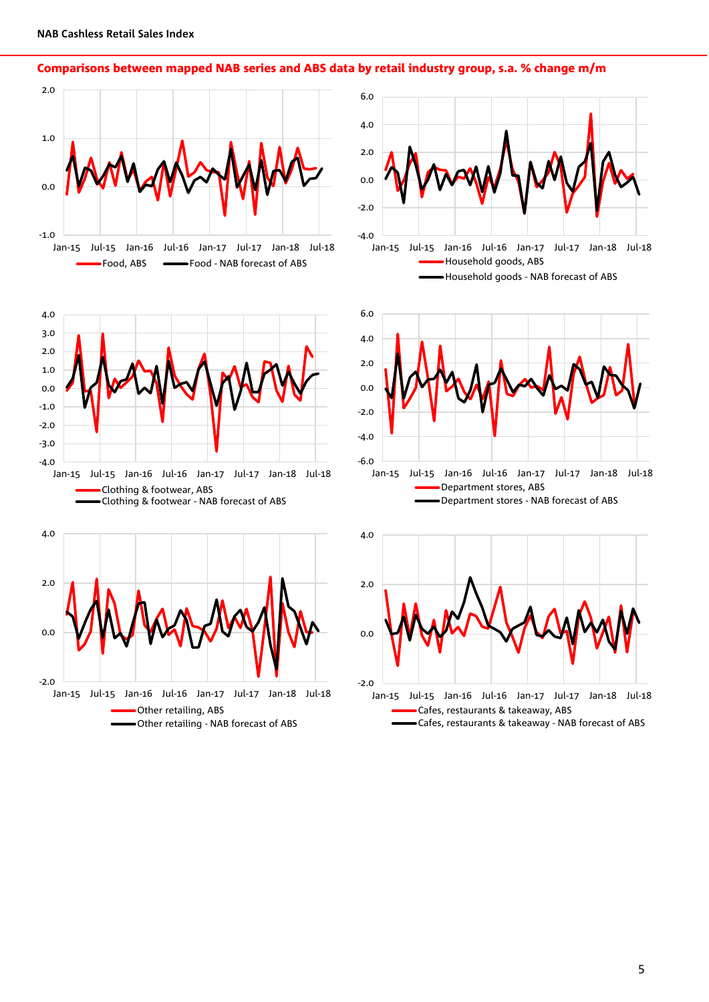Comparisons between mapped NAB series and ABS data by retail industry group, s.a. % change m/m